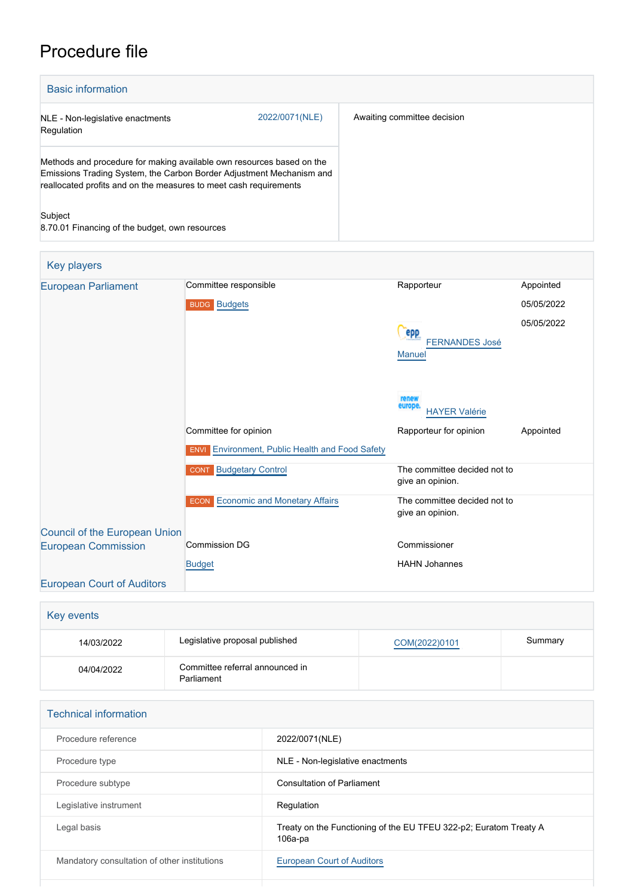## Procedure file

| <b>Basic information</b>                                                                                                                                                                                           |                |                             |  |
|--------------------------------------------------------------------------------------------------------------------------------------------------------------------------------------------------------------------|----------------|-----------------------------|--|
| NLE - Non-legislative enactments<br>Regulation                                                                                                                                                                     | 2022/0071(NLE) | Awaiting committee decision |  |
| Methods and procedure for making available own resources based on the<br>Emissions Trading System, the Carbon Border Adjustment Mechanism and<br>reallocated profits and on the measures to meet cash requirements |                |                             |  |
| Subject<br>8.70.01 Financing of the budget, own resources                                                                                                                                                          |                |                             |  |

| Key players                          |                                                                  |                                                  |            |
|--------------------------------------|------------------------------------------------------------------|--------------------------------------------------|------------|
| <b>European Parliament</b>           | Committee responsible                                            | Rapporteur                                       | Appointed  |
|                                      | <b>BUDG</b> Budgets                                              |                                                  | 05/05/2022 |
|                                      |                                                                  | epp                                              | 05/05/2022 |
|                                      |                                                                  | <b>FERNANDES José</b><br><b>Manuel</b>           |            |
|                                      |                                                                  |                                                  |            |
|                                      |                                                                  | renew<br>europe<br><b>HAYER Valérie</b>          |            |
|                                      | Committee for opinion                                            | Rapporteur for opinion                           | Appointed  |
|                                      | <b>Environment, Public Health and Food Safety</b><br><b>ENVI</b> |                                                  |            |
|                                      | <b>CONT</b> Budgetary Control                                    | The committee decided not to<br>give an opinion. |            |
|                                      | Economic and Monetary Affairs<br><b>ECON</b>                     | The committee decided not to<br>give an opinion. |            |
| <b>Council of the European Union</b> |                                                                  |                                                  |            |
| <b>European Commission</b>           | <b>Commission DG</b>                                             | Commissioner                                     |            |
|                                      | <b>Budget</b>                                                    | <b>HAHN Johannes</b>                             |            |
| <b>European Court of Auditors</b>    |                                                                  |                                                  |            |

| Key events |                                               |               |         |
|------------|-----------------------------------------------|---------------|---------|
| 14/03/2022 | Legislative proposal published                | COM(2022)0101 | Summary |
| 04/04/2022 | Committee referral announced in<br>Parliament |               |         |

| <b>Technical information</b>                 |                                                                                 |
|----------------------------------------------|---------------------------------------------------------------------------------|
| Procedure reference                          | 2022/0071(NLE)                                                                  |
| Procedure type                               | NLE - Non-legislative enactments                                                |
| Procedure subtype                            | <b>Consultation of Parliament</b>                                               |
| Legislative instrument                       | Regulation                                                                      |
| Legal basis                                  | Treaty on the Functioning of the EU TFEU 322-p2; Euratom Treaty A<br>$106a$ -pa |
| Mandatory consultation of other institutions | <b>European Court of Auditors</b>                                               |